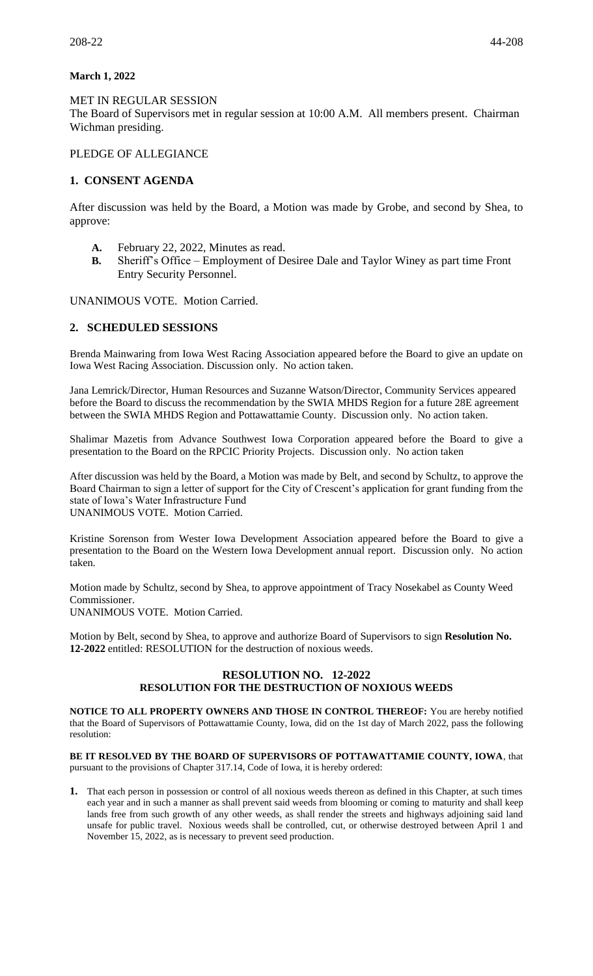### **March 1, 2022**

MET IN REGULAR SESSION The Board of Supervisors met in regular session at 10:00 A.M. All members present. Chairman Wichman presiding.

## PLEDGE OF ALLEGIANCE

## **1. CONSENT AGENDA**

After discussion was held by the Board, a Motion was made by Grobe, and second by Shea, to approve:

- **A.** February 22, 2022, Minutes as read.
- **B.** Sheriff's Office Employment of Desiree Dale and Taylor Winey as part time Front Entry Security Personnel.

UNANIMOUS VOTE. Motion Carried.

## **2. SCHEDULED SESSIONS**

Brenda Mainwaring from Iowa West Racing Association appeared before the Board to give an update on Iowa West Racing Association. Discussion only. No action taken.

Jana Lemrick/Director, Human Resources and Suzanne Watson/Director, Community Services appeared before the Board to discuss the recommendation by the SWIA MHDS Region for a future 28E agreement between the SWIA MHDS Region and Pottawattamie County. Discussion only. No action taken.

Shalimar Mazetis from Advance Southwest Iowa Corporation appeared before the Board to give a presentation to the Board on the RPCIC Priority Projects. Discussion only. No action taken

After discussion was held by the Board, a Motion was made by Belt, and second by Schultz, to approve the Board Chairman to sign a letter of support for the City of Crescent's application for grant funding from the state of Iowa's Water Infrastructure Fund UNANIMOUS VOTE. Motion Carried.

Kristine Sorenson from Wester Iowa Development Association appeared before the Board to give a presentation to the Board on the Western Iowa Development annual report. Discussion only. No action taken.

Motion made by Schultz, second by Shea, to approve appointment of Tracy Nosekabel as County Weed Commissioner.

UNANIMOUS VOTE. Motion Carried.

Motion by Belt, second by Shea, to approve and authorize Board of Supervisors to sign **Resolution No. 12-2022** entitled: RESOLUTION for the destruction of noxious weeds.

#### **RESOLUTION NO. 12-2022 RESOLUTION FOR THE DESTRUCTION OF NOXIOUS WEEDS**

**NOTICE TO ALL PROPERTY OWNERS AND THOSE IN CONTROL THEREOF:** You are hereby notified that the Board of Supervisors of Pottawattamie County, Iowa, did on the 1st day of March 2022, pass the following resolution:

**BE IT RESOLVED BY THE BOARD OF SUPERVISORS OF POTTAWATTAMIE COUNTY, IOWA**, that pursuant to the provisions of Chapter 317.14, Code of Iowa, it is hereby ordered:

**1.** That each person in possession or control of all noxious weeds thereon as defined in this Chapter, at such times each year and in such a manner as shall prevent said weeds from blooming or coming to maturity and shall keep lands free from such growth of any other weeds, as shall render the streets and highways adjoining said land unsafe for public travel. Noxious weeds shall be controlled, cut, or otherwise destroyed between April 1 and November 15, 2022, as is necessary to prevent seed production.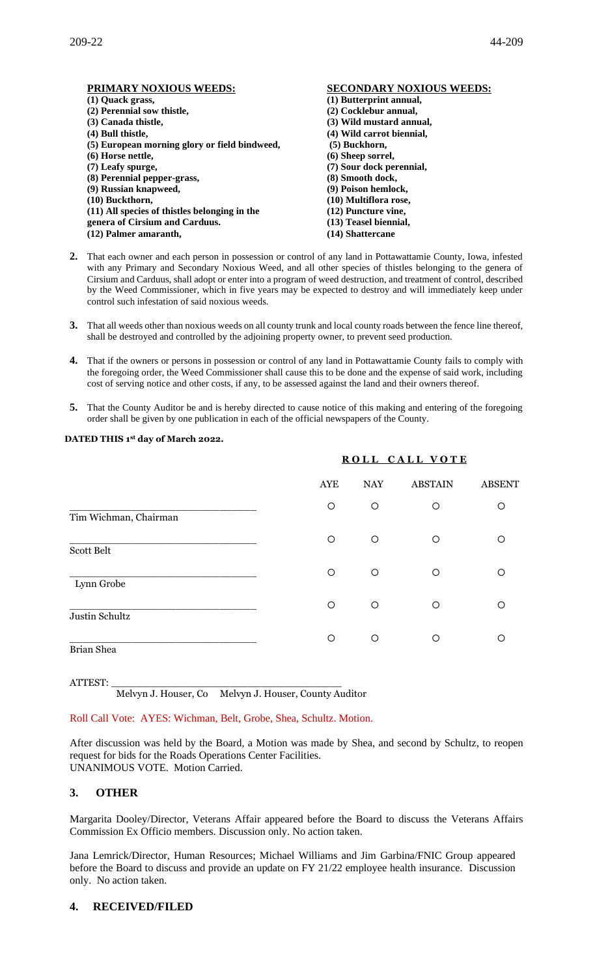| PRIMARY NOXIOUS WEEDS:                        | <b>SECONDARY NOXIOUS WEEDS:</b> |
|-----------------------------------------------|---------------------------------|
| (1) Quack grass,                              | (1) Butterprint annual,         |
| (2) Perennial sow thistle,                    | (2) Cocklebur annual,           |
| (3) Canada thistle,                           | (3) Wild mustard annual,        |
| (4) Bull thistle,                             | (4) Wild carrot biennial,       |
| (5) European morning glory or field bindweed, | (5) Buckhorn,                   |
| $(6)$ Horse nettle,                           | (6) Sheep sorrel,               |
| (7) Leafy spurge,                             | (7) Sour dock perennial,        |
| (8) Perennial pepper-grass,                   | (8) Smooth dock,                |
| (9) Russian knapweed,                         | (9) Poison hemlock,             |
| $(10)$ Buckthorn,                             | (10) Multiflora rose,           |
| (11) All species of thistles belonging in the | (12) Puncture vine,             |
| genera of Cirsium and Carduus.                | (13) Teasel biennial,           |
| (12) Palmer amaranth,                         | (14) Shattercane                |

- **2.** That each owner and each person in possession or control of any land in Pottawattamie County, Iowa, infested with any Primary and Secondary Noxious Weed, and all other species of thistles belonging to the genera of Cirsium and Carduus, shall adopt or enter into a program of weed destruction, and treatment of control, described by the Weed Commissioner, which in five years may be expected to destroy and will immediately keep under control such infestation of said noxious weeds.
- **3.** That all weeds other than noxious weeds on all county trunk and local county roads between the fence line thereof, shall be destroyed and controlled by the adjoining property owner, to prevent seed production.
- **4.** That if the owners or persons in possession or control of any land in Pottawattamie County fails to comply with the foregoing order, the Weed Commissioner shall cause this to be done and the expense of said work, including cost of serving notice and other costs, if any, to be assessed against the land and their owners thereof.
- **5.** That the County Auditor be and is hereby directed to cause notice of this making and entering of the foregoing order shall be given by one publication in each of the official newspapers of the County.

#### **DATED THIS 1 st day of March 2022.**

|                       |            | ROLL CALL VOTE |                |               |  |
|-----------------------|------------|----------------|----------------|---------------|--|
|                       | <b>AYE</b> | <b>NAY</b>     | <b>ABSTAIN</b> | <b>ABSENT</b> |  |
| Tim Wichman, Chairman | $\circ$    | $\circ$        | O              | $\circ$       |  |
| Scott Belt            | O          | $\circ$        | O              | ◯             |  |
| Lynn Grobe            | O          | $\circ$        | $\circ$        | $\circ$       |  |
| Justin Schultz        | $\circ$    | $\circ$        | O              | ◯             |  |
| Brian Shea            | $\circ$    | O              | O              | ∩             |  |

ATTEST: \_\_\_\_\_\_\_\_\_\_\_\_\_\_\_\_\_\_\_\_\_\_\_\_\_\_\_\_\_\_\_\_\_\_\_\_\_

Melvyn J. Houser, Co Melvyn J. Houser, County Auditor

#### Roll Call Vote: AYES: Wichman, Belt, Grobe, Shea, Schultz. Motion.

After discussion was held by the Board, a Motion was made by Shea, and second by Schultz, to reopen request for bids for the Roads Operations Center Facilities. UNANIMOUS VOTE. Motion Carried.

## **3. OTHER**

Margarita Dooley/Director, Veterans Affair appeared before the Board to discuss the Veterans Affairs Commission Ex Officio members. Discussion only. No action taken.

Jana Lemrick/Director, Human Resources; Michael Williams and Jim Garbina/FNIC Group appeared before the Board to discuss and provide an update on FY 21/22 employee health insurance. Discussion only. No action taken.

# **4. RECEIVED/FILED**